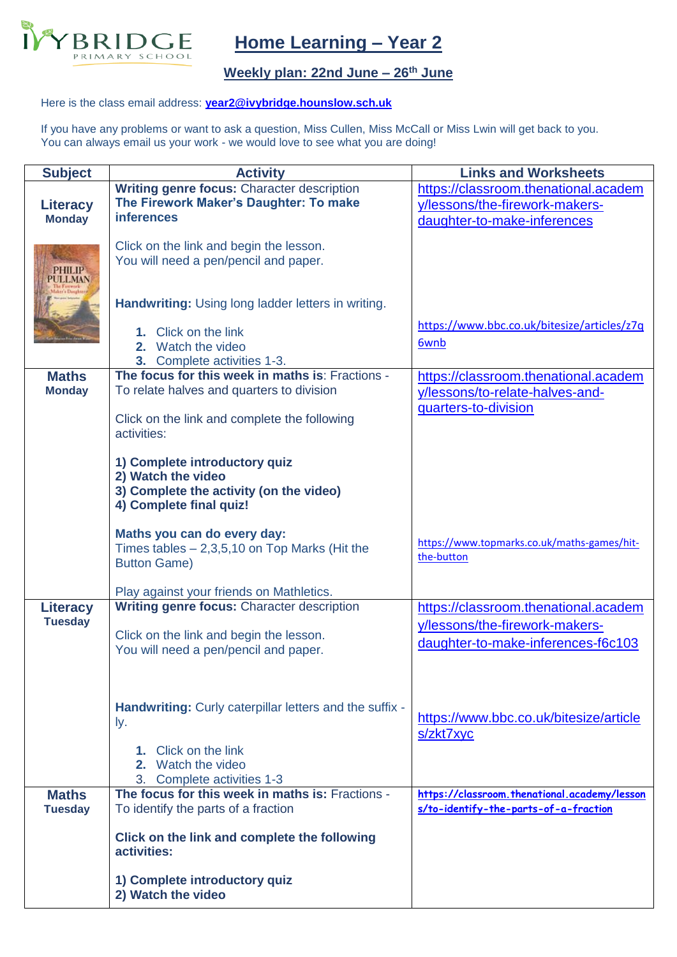

## **Home Learning – Year 2**

## **Weekly plan: 22nd June – 26th June**

## Here is the class email address: **[year2@ivybridge.hounslow.sch.uk](mailto:year2@ivybridge.hounslow.sch.uk)**

If you have any problems or want to ask a question, Miss Cullen, Miss McCall or Miss Lwin will get back to you. You can always email us your work - we would love to see what you are doing!

| <b>Subject</b>                    | <b>Activity</b>                                                                | <b>Links and Worksheets</b>                  |
|-----------------------------------|--------------------------------------------------------------------------------|----------------------------------------------|
|                                   | Writing genre focus: Character description                                     | https://classroom.thenational.academ         |
| <b>Literacy</b>                   | The Firework Maker's Daughter: To make                                         | y/lessons/the-firework-makers-               |
| <b>Monday</b>                     | <b>inferences</b>                                                              | daughter-to-make-inferences                  |
|                                   | Click on the link and begin the lesson.                                        |                                              |
|                                   | You will need a pen/pencil and paper.                                          |                                              |
| 2HILIP<br>JLL MAN                 |                                                                                |                                              |
|                                   |                                                                                |                                              |
|                                   | Handwriting: Using long ladder letters in writing.                             |                                              |
|                                   | 1. Click on the link                                                           | https://www.bbc.co.uk/bitesize/articles/z7q  |
|                                   | 2. Watch the video                                                             | 6wnb                                         |
|                                   | 3. Complete activities 1-3.                                                    |                                              |
| <b>Maths</b>                      | The focus for this week in maths is: Fractions -                               | https://classroom.thenational.academ         |
| <b>Monday</b>                     | To relate halves and quarters to division                                      | y/lessons/to-relate-halves-and-              |
|                                   |                                                                                | quarters-to-division                         |
|                                   | Click on the link and complete the following                                   |                                              |
|                                   | activities:                                                                    |                                              |
|                                   | 1) Complete introductory quiz                                                  |                                              |
|                                   | 2) Watch the video                                                             |                                              |
|                                   | 3) Complete the activity (on the video)                                        |                                              |
|                                   | 4) Complete final quiz!                                                        |                                              |
|                                   | Maths you can do every day:                                                    |                                              |
|                                   | Times tables $-2,3,5,10$ on Top Marks (Hit the                                 | https://www.topmarks.co.uk/maths-games/hit-  |
|                                   | <b>Button Game)</b>                                                            | the-button                                   |
|                                   |                                                                                |                                              |
|                                   | Play against your friends on Mathletics.                                       |                                              |
| <b>Literacy</b><br><b>Tuesday</b> | Writing genre focus: Character description                                     | https://classroom.thenational.academ         |
|                                   | Click on the link and begin the lesson.                                        | y/lessons/the-firework-makers-               |
|                                   | You will need a pen/pencil and paper.                                          | daughter-to-make-inferences-f6c103           |
|                                   |                                                                                |                                              |
|                                   |                                                                                |                                              |
|                                   | Handwriting: Curly caterpillar letters and the suffix -                        |                                              |
|                                   | ly.                                                                            | https://www.bbc.co.uk/bitesize/article       |
|                                   |                                                                                | s/zkt7xyc                                    |
|                                   | 1. Click on the link                                                           |                                              |
|                                   | 2. Watch the video                                                             |                                              |
| <b>Maths</b>                      | 3. Complete activities 1-3<br>The focus for this week in maths is: Fractions - | https://classroom.thenational.academy/lesson |
| <b>Tuesday</b>                    | To identify the parts of a fraction                                            | s/to-identify-the-parts-of-a-fraction        |
|                                   |                                                                                |                                              |
|                                   | Click on the link and complete the following                                   |                                              |
|                                   | activities:                                                                    |                                              |
|                                   | 1) Complete introductory quiz                                                  |                                              |
|                                   | 2) Watch the video                                                             |                                              |
|                                   |                                                                                |                                              |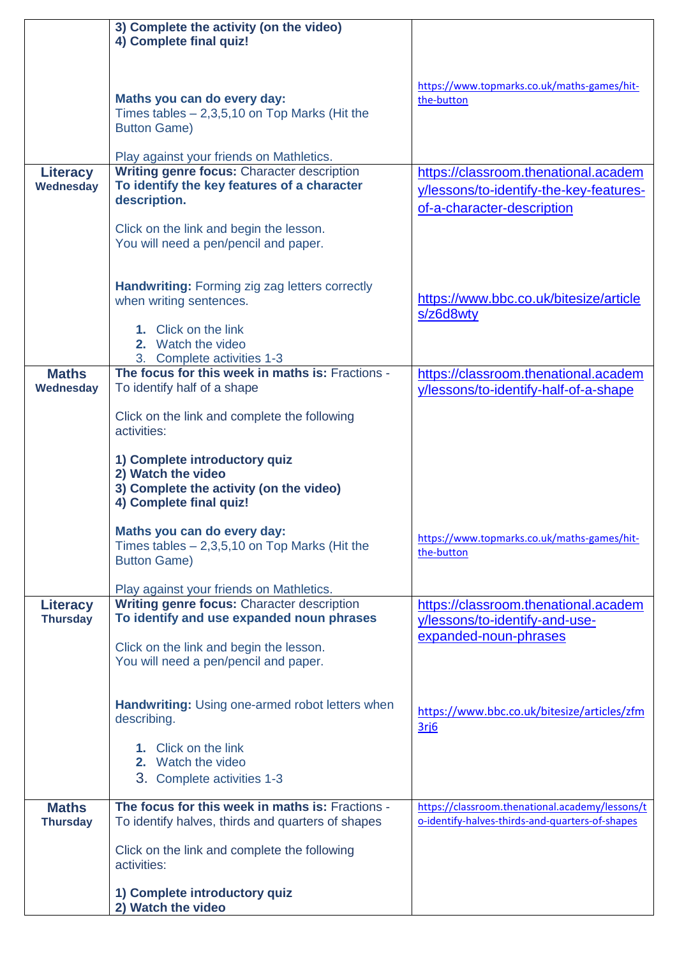|                                    | 3) Complete the activity (on the video)<br>4) Complete final quiz!                                                        |                                                                                                               |
|------------------------------------|---------------------------------------------------------------------------------------------------------------------------|---------------------------------------------------------------------------------------------------------------|
|                                    |                                                                                                                           |                                                                                                               |
|                                    | Maths you can do every day:<br>Times tables $-2,3,5,10$ on Top Marks (Hit the<br><b>Button Game)</b>                      | https://www.topmarks.co.uk/maths-games/hit-<br>the-button                                                     |
|                                    | Play against your friends on Mathletics.                                                                                  |                                                                                                               |
| <b>Literacy</b><br>Wednesday       | Writing genre focus: Character description<br>To identify the key features of a character<br>description.                 | https://classroom.thenational.academ<br>y/lessons/to-identify-the-key-features-<br>of-a-character-description |
|                                    | Click on the link and begin the lesson.<br>You will need a pen/pencil and paper.                                          |                                                                                                               |
|                                    | <b>Handwriting:</b> Forming zig zag letters correctly<br>when writing sentences.                                          | https://www.bbc.co.uk/bitesize/article<br>s/z6d8wty                                                           |
|                                    | 1. Click on the link<br>2. Watch the video<br>3. Complete activities 1-3                                                  |                                                                                                               |
| <b>Maths</b><br>Wednesday          | The focus for this week in maths is: Fractions -<br>To identify half of a shape                                           | https://classroom.thenational.academ<br>y/lessons/to-identify-half-of-a-shape                                 |
|                                    | Click on the link and complete the following<br>activities:                                                               |                                                                                                               |
|                                    | 1) Complete introductory quiz<br>2) Watch the video<br>3) Complete the activity (on the video)<br>4) Complete final quiz! |                                                                                                               |
|                                    | Maths you can do every day:<br>Times tables $-2,3,5,10$ on Top Marks (Hit the<br><b>Button Game)</b>                      | https://www.topmarks.co.uk/maths-games/hit-<br>the-button                                                     |
|                                    | Play against your friends on Mathletics.                                                                                  |                                                                                                               |
| <b>Literacy</b><br><b>Thursday</b> | Writing genre focus: Character description<br>To identify and use expanded noun phrases                                   | https://classroom.thenational.academ<br>y/lessons/to-identify-and-use-<br>expanded-noun-phrases               |
|                                    | Click on the link and begin the lesson.<br>You will need a pen/pencil and paper.                                          |                                                                                                               |
|                                    | <b>Handwriting: Using one-armed robot letters when</b><br>describing.                                                     | https://www.bbc.co.uk/bitesize/articles/zfm<br>3ri6                                                           |
|                                    | 1. Click on the link<br>2. Watch the video<br>3. Complete activities 1-3                                                  |                                                                                                               |
| <b>Maths</b><br><b>Thursday</b>    | The focus for this week in maths is: Fractions -<br>To identify halves, thirds and quarters of shapes                     | https://classroom.thenational.academy/lessons/t<br>o-identify-halves-thirds-and-quarters-of-shapes            |
|                                    | Click on the link and complete the following<br>activities:                                                               |                                                                                                               |
|                                    | 1) Complete introductory quiz<br>2) Watch the video                                                                       |                                                                                                               |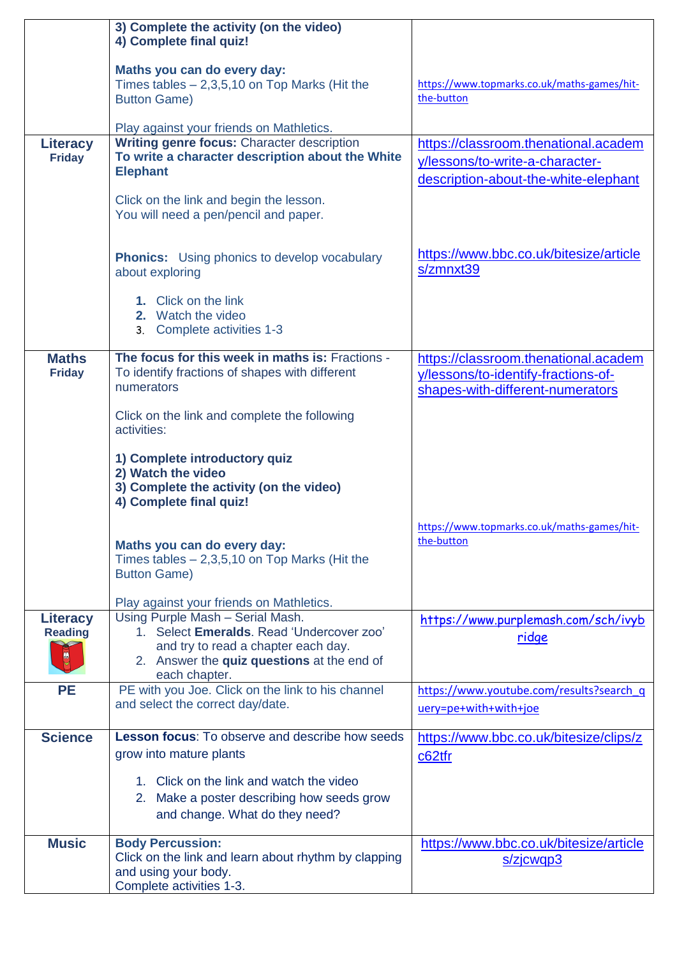|                                         | 3) Complete the activity (on the video)<br>4) Complete final quiz!                                                                                                                  |                                                                                                                 |
|-----------------------------------------|-------------------------------------------------------------------------------------------------------------------------------------------------------------------------------------|-----------------------------------------------------------------------------------------------------------------|
|                                         | Maths you can do every day:<br>Times tables $-2,3,5,10$ on Top Marks (Hit the<br><b>Button Game)</b>                                                                                | https://www.topmarks.co.uk/maths-games/hit-<br>the-button                                                       |
|                                         | Play against your friends on Mathletics.                                                                                                                                            |                                                                                                                 |
| Literacy<br><b>Friday</b>               | Writing genre focus: Character description<br>To write a character description about the White<br><b>Elephant</b>                                                                   | https://classroom.thenational.academ<br>y/lessons/to-write-a-character-<br>description-about-the-white-elephant |
|                                         | Click on the link and begin the lesson.<br>You will need a pen/pencil and paper.                                                                                                    |                                                                                                                 |
|                                         | <b>Phonics:</b> Using phonics to develop vocabulary<br>about exploring                                                                                                              | https://www.bbc.co.uk/bitesize/article<br>s/zmnxt39                                                             |
|                                         | 1. Click on the link<br>2. Watch the video<br>3. Complete activities 1-3                                                                                                            |                                                                                                                 |
| <b>Maths</b><br><b>Friday</b>           | The focus for this week in maths is: Fractions -<br>To identify fractions of shapes with different<br>numerators                                                                    | https://classroom.thenational.academ<br>y/lessons/to-identify-fractions-of-<br>shapes-with-different-numerators |
|                                         | Click on the link and complete the following<br>activities:                                                                                                                         |                                                                                                                 |
|                                         | 1) Complete introductory quiz<br>2) Watch the video<br>3) Complete the activity (on the video)<br>4) Complete final quiz!                                                           |                                                                                                                 |
|                                         | Maths you can do every day:<br>Times tables $-2,3,5,10$ on Top Marks (Hit the<br><b>Button Game)</b>                                                                                | https://www.topmarks.co.uk/maths-games/hit-<br>the-button                                                       |
|                                         | Play against your friends on Mathletics.                                                                                                                                            |                                                                                                                 |
| <b>Literacy</b><br><b>Reading</b><br>CO | Using Purple Mash - Serial Mash.<br>1. Select Emeralds. Read 'Undercover zoo'<br>and try to read a chapter each day.<br>2. Answer the quiz questions at the end of<br>each chapter. | https://www.purplemash.com/sch/ivyb<br>ridge                                                                    |
| <b>PE</b>                               | PE with you Joe. Click on the link to his channel<br>and select the correct day/date.                                                                                               | https://www.youtube.com/results?search q<br>uery=pe+with+with+joe                                               |
| <b>Science</b>                          | <b>Lesson focus:</b> To observe and describe how seeds<br>grow into mature plants                                                                                                   | https://www.bbc.co.uk/bitesize/clips/z<br>c62tfr                                                                |
|                                         | 1. Click on the link and watch the video<br>2. Make a poster describing how seeds grow<br>and change. What do they need?                                                            |                                                                                                                 |
| <b>Music</b>                            | <b>Body Percussion:</b><br>Click on the link and learn about rhythm by clapping<br>and using your body.<br>Complete activities 1-3.                                                 | https://www.bbc.co.uk/bitesize/article<br>s/zjcwqp3                                                             |